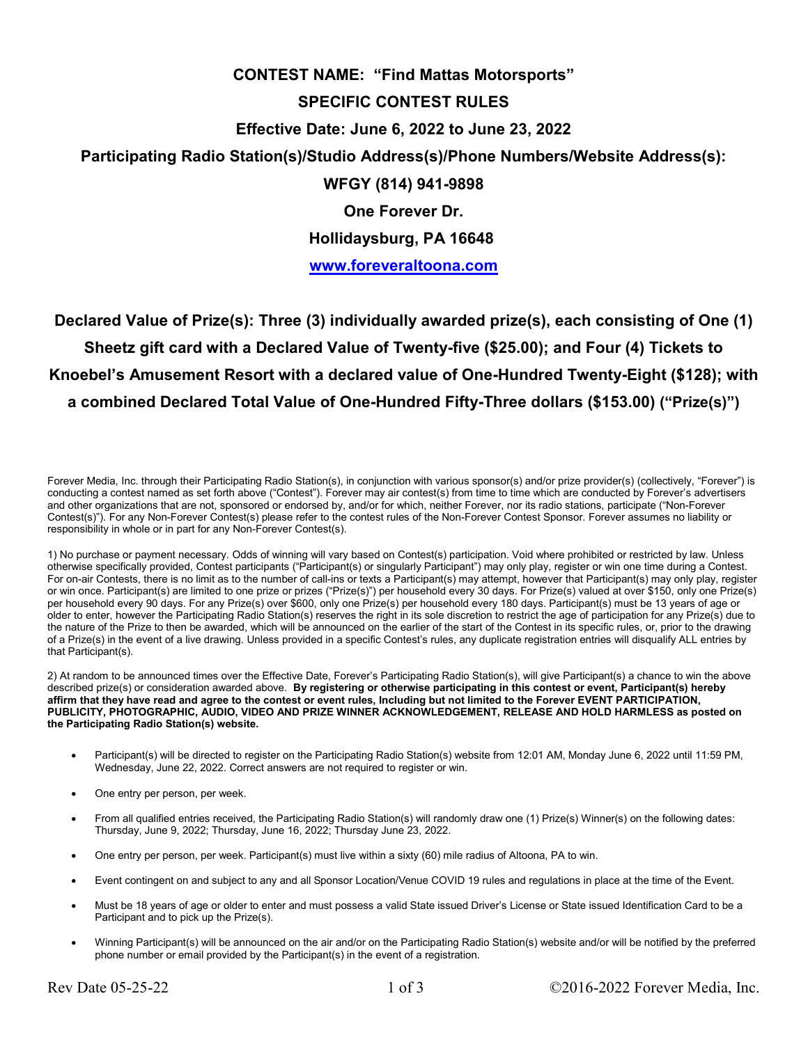## **CONTEST NAME: "Find Mattas Motorsports" SPECIFIC CONTEST RULES Effective Date: June 6, 2022 to June 23, 2022 Participating Radio Station(s)/Studio Address(s)/Phone Numbers/Website Address(s): WFGY (814) 941-9898 One Forever Dr. Hollidaysburg, PA 16648**

**www.foreveraltoona.com**

**Declared Value of Prize(s): Three (3) individually awarded prize(s), each consisting of One (1) Sheetz gift card with a Declared Value of Twenty-five (\$25.00); and Four (4) Tickets to Knoebel's Amusement Resort with a declared value of One-Hundred Twenty-Eight (\$128); with a combined Declared Total Value of One-Hundred Fifty-Three dollars (\$153.00) ("Prize(s)")**

Forever Media, Inc. through their Participating Radio Station(s), in conjunction with various sponsor(s) and/or prize provider(s) (collectively, "Forever") is conducting a contest named as set forth above ("Contest"). Forever may air contest(s) from time to time which are conducted by Forever's advertisers and other organizations that are not, sponsored or endorsed by, and/or for which, neither Forever, nor its radio stations, participate ("Non-Forever Contest(s)"). For any Non-Forever Contest(s) please refer to the contest rules of the Non-Forever Contest Sponsor. Forever assumes no liability or responsibility in whole or in part for any Non-Forever Contest(s).

1) No purchase or payment necessary. Odds of winning will vary based on Contest(s) participation. Void where prohibited or restricted by law. Unless otherwise specifically provided, Contest participants ("Participant(s) or singularly Participant") may only play, register or win one time during a Contest. For on-air Contests, there is no limit as to the number of call-ins or texts a Participant(s) may attempt, however that Participant(s) may only play, register or win once. Participant(s) are limited to one prize or prizes ("Prize(s)") per household every 30 days. For Prize(s) valued at over \$150, only one Prize(s) per household every 90 days. For any Prize(s) over \$600, only one Prize(s) per household every 180 days. Participant(s) must be 13 years of age or older to enter, however the Participating Radio Station(s) reserves the right in its sole discretion to restrict the age of participation for any Prize(s) due to the nature of the Prize to then be awarded, which will be announced on the earlier of the start of the Contest in its specific rules, or, prior to the drawing of a Prize(s) in the event of a live drawing. Unless provided in a specific Contest's rules, any duplicate registration entries will disqualify ALL entries by that Participant(s).

2) At random to be announced times over the Effective Date, Forever's Participating Radio Station(s), will give Participant(s) a chance to win the above described prize(s) or consideration awarded above. **By registering or otherwise participating in this contest or event, Participant(s) hereby affirm that they have read and agree to the contest or event rules, Including but not limited to the Forever EVENT PARTICIPATION, PUBLICITY, PHOTOGRAPHIC, AUDIO, VIDEO AND PRIZE WINNER ACKNOWLEDGEMENT, RELEASE AND HOLD HARMLESS as posted on the Participating Radio Station(s) website.** 

- Participant(s) will be directed to register on the Participating Radio Station(s) website from 12:01 AM, Monday June 6, 2022 until 11:59 PM, Wednesday, June 22, 2022. Correct answers are not required to register or win.
- One entry per person, per week.
- From all qualified entries received, the Participating Radio Station(s) will randomly draw one (1) Prize(s) Winner(s) on the following dates: Thursday, June 9, 2022; Thursday, June 16, 2022; Thursday June 23, 2022.
- One entry per person, per week. Participant(s) must live within a sixty (60) mile radius of Altoona, PA to win.
- Event contingent on and subject to any and all Sponsor Location/Venue COVID 19 rules and regulations in place at the time of the Event.
- Must be 18 years of age or older to enter and must possess a valid State issued Driver's License or State issued Identification Card to be a Participant and to pick up the Prize(s).
- Winning Participant(s) will be announced on the air and/or on the Participating Radio Station(s) website and/or will be notified by the preferred phone number or email provided by the Participant(s) in the event of a registration.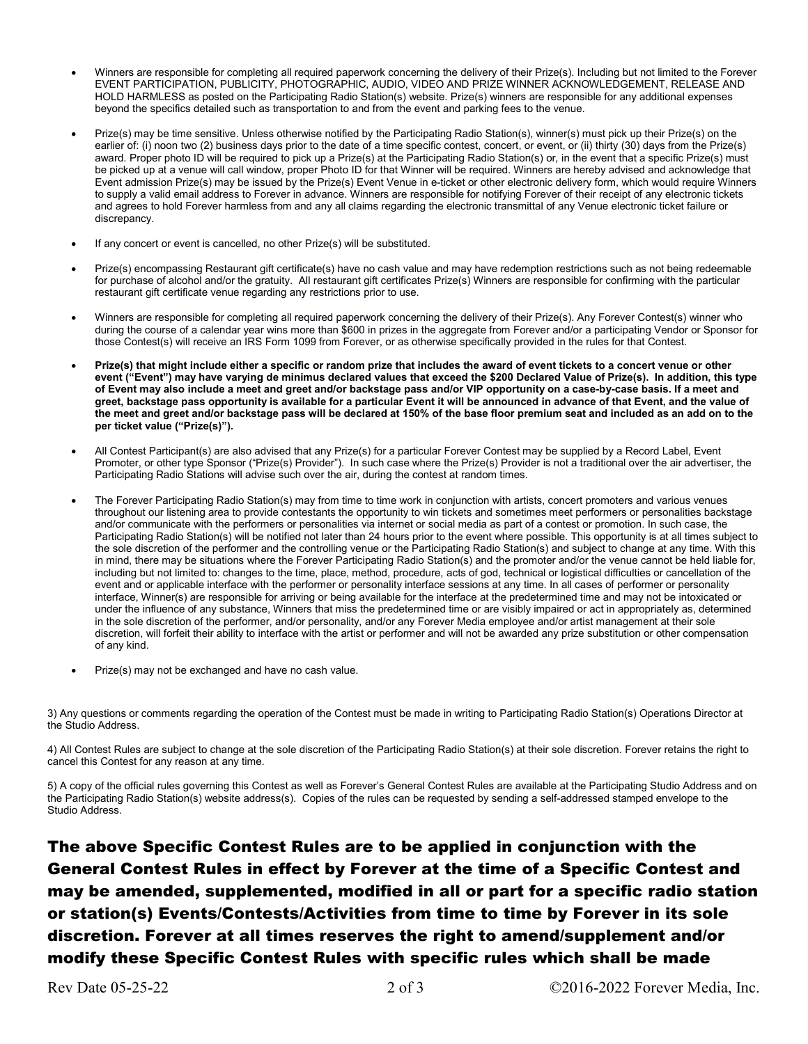- Winners are responsible for completing all required paperwork concerning the delivery of their Prize(s). Including but not limited to the Forever EVENT PARTICIPATION, PUBLICITY, PHOTOGRAPHIC, AUDIO, VIDEO AND PRIZE WINNER ACKNOWLEDGEMENT, RELEASE AND HOLD HARMLESS as posted on the Participating Radio Station(s) website. Prize(s) winners are responsible for any additional expenses beyond the specifics detailed such as transportation to and from the event and parking fees to the venue.
- Prize(s) may be time sensitive. Unless otherwise notified by the Participating Radio Station(s), winner(s) must pick up their Prize(s) on the earlier of: (i) noon two (2) business days prior to the date of a time specific contest, concert, or event, or (ii) thirty (30) days from the Prize(s) award. Proper photo ID will be required to pick up a Prize(s) at the Participating Radio Station(s) or, in the event that a specific Prize(s) must be picked up at a venue will call window, proper Photo ID for that Winner will be required. Winners are hereby advised and acknowledge that Event admission Prize(s) may be issued by the Prize(s) Event Venue in e-ticket or other electronic delivery form, which would require Winners to supply a valid email address to Forever in advance. Winners are responsible for notifying Forever of their receipt of any electronic tickets and agrees to hold Forever harmless from and any all claims regarding the electronic transmittal of any Venue electronic ticket failure or discrepancy.
- If any concert or event is cancelled, no other Prize(s) will be substituted.
- Prize(s) encompassing Restaurant gift certificate(s) have no cash value and may have redemption restrictions such as not being redeemable for purchase of alcohol and/or the gratuity. All restaurant gift certificates Prize(s) Winners are responsible for confirming with the particular restaurant gift certificate venue regarding any restrictions prior to use.
- Winners are responsible for completing all required paperwork concerning the delivery of their Prize(s). Any Forever Contest(s) winner who during the course of a calendar year wins more than \$600 in prizes in the aggregate from Forever and/or a participating Vendor or Sponsor for those Contest(s) will receive an IRS Form 1099 from Forever, or as otherwise specifically provided in the rules for that Contest.
- **Prize(s) that might include either a specific or random prize that includes the award of event tickets to a concert venue or other event ("Event") may have varying de minimus declared values that exceed the \$200 Declared Value of Prize(s). In addition, this type of Event may also include a meet and greet and/or backstage pass and/or VIP opportunity on a case-by-case basis. If a meet and greet, backstage pass opportunity is available for a particular Event it will be announced in advance of that Event, and the value of the meet and greet and/or backstage pass will be declared at 150% of the base floor premium seat and included as an add on to the per ticket value ("Prize(s)").**
- All Contest Participant(s) are also advised that any Prize(s) for a particular Forever Contest may be supplied by a Record Label, Event Promoter, or other type Sponsor ("Prize(s) Provider"). In such case where the Prize(s) Provider is not a traditional over the air advertiser, the Participating Radio Stations will advise such over the air, during the contest at random times.
- The Forever Participating Radio Station(s) may from time to time work in conjunction with artists, concert promoters and various venues throughout our listening area to provide contestants the opportunity to win tickets and sometimes meet performers or personalities backstage and/or communicate with the performers or personalities via internet or social media as part of a contest or promotion. In such case, the Participating Radio Station(s) will be notified not later than 24 hours prior to the event where possible. This opportunity is at all times subject to the sole discretion of the performer and the controlling venue or the Participating Radio Station(s) and subject to change at any time. With this in mind, there may be situations where the Forever Participating Radio Station(s) and the promoter and/or the venue cannot be held liable for, including but not limited to: changes to the time, place, method, procedure, acts of god, technical or logistical difficulties or cancellation of the event and or applicable interface with the performer or personality interface sessions at any time. In all cases of performer or personality interface, Winner(s) are responsible for arriving or being available for the interface at the predetermined time and may not be intoxicated or under the influence of any substance, Winners that miss the predetermined time or are visibly impaired or act in appropriately as, determined in the sole discretion of the performer, and/or personality, and/or any Forever Media employee and/or artist management at their sole discretion, will forfeit their ability to interface with the artist or performer and will not be awarded any prize substitution or other compensation of any kind.
- Prize(s) may not be exchanged and have no cash value.

3) Any questions or comments regarding the operation of the Contest must be made in writing to Participating Radio Station(s) Operations Director at the Studio Address.

4) All Contest Rules are subject to change at the sole discretion of the Participating Radio Station(s) at their sole discretion. Forever retains the right to cancel this Contest for any reason at any time.

5) A copy of the official rules governing this Contest as well as Forever's General Contest Rules are available at the Participating Studio Address and on the Participating Radio Station(s) website address(s). Copies of the rules can be requested by sending a self-addressed stamped envelope to the Studio Address.

The above Specific Contest Rules are to be applied in conjunction with the General Contest Rules in effect by Forever at the time of a Specific Contest and may be amended, supplemented, modified in all or part for a specific radio station or station(s) Events/Contests/Activities from time to time by Forever in its sole discretion. Forever at all times reserves the right to amend/supplement and/or modify these Specific Contest Rules with specific rules which shall be made